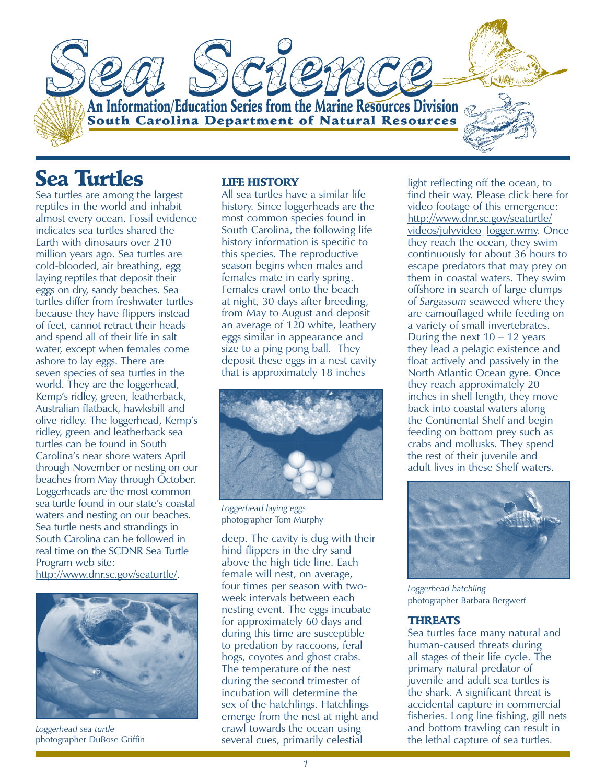An Information/Education Series from the Marine Resources Division **South Carolina Department of Natural Resources** 

# **Sea Turtles**

Sea turtles are among the largest reptiles in the world and inhabit almost every ocean. Fossil evidence indicates sea turtles shared the Earth with dinosaurs over 210 million years ago. Sea turtles are cold-blooded, air breathing, egg laying reptiles that deposit their eggs on dry, sandy beaches. Sea turtles differ from freshwater turtles because they have flippers instead of feet, cannot retract their heads and spend all of their life in salt water, except when females come ashore to lay eggs. There are seven species of sea turtles in the world. They are the loggerhead, Kemp's ridley, green, leatherback, Australian flatback, hawksbill and olive ridley. The loggerhead, Kemp's ridley, green and leatherback sea turtles can be found in South Carolina's near shore waters April through November or nesting on our beaches from May through October. Loggerheads are the most common sea turtle found in our state's coastal waters and nesting on our beaches. Sea turtle nests and strandings in South Carolina can be followed in real time on the SCDNR Sea Turtle Program web site: [http://www.dnr.sc.gov/seaturtle/.](http://www.dnr.sc.gov/seaturtle/)



photographer DuBose Griffin *Loggerhead sea turtle*

#### LIFE HISTORY

All sea turtles have a similar life history. Since loggerheads are the most common species found in South Carolina, the following life history information is specific to this species. The reproductive season begins when males and females mate in early spring. Females crawl onto the beach at night, 30 days after breeding, from May to August and deposit an average of 120 white, leathery eggs similar in appearance and size to a ping pong ball. They deposit these eggs in a nest cavity that is approximately 18 inches



photographer Tom Murphy *Loggerhead laying eggs*

deep. The cavity is dug with their hind flippers in the dry sand above the high tide line. Each female will nest, on average, four times per season with twoweek intervals between each nesting event. The eggs incubate for approximately 60 days and during this time are susceptible to predation by raccoons, feral hogs, coyotes and ghost crabs. The temperature of the nest during the second trimester of incubation will determine the sex of the hatchlings. Hatchlings emerge from the nest at night and crawl towards the ocean using several cues, primarily celestial

light reflecting off the ocean, to find their way. Please click here for video footage of this emergence: http://www.dnr.sc.gov/seaturtle/ [videos/julyvideo\\_logger.wmv. O](http://www.dnr.sc.gov/seaturtle/videos/julyvideo_logger.wmv)nce they reach the ocean, they swim continuously for about 36 hours to escape predators that may prey on them in coastal waters. They swim offshore in search of large clumps of *Sargassum* seaweed where they are camouflaged while feeding on a variety of small invertebrates. During the next  $10 - 12$  years they lead a pelagic existence and float actively and passively in the North Atlantic Ocean gyre. Once they reach approximately 20 inches in shell length, they move back into coastal waters along the Continental Shelf and begin feeding on bottom prey such as crabs and mollusks. They spend the rest of their juvenile and adult lives in these Shelf waters.



photographer Barbara Bergwerf *Loggerhead hatchling*

### THREATS

Sea turtles face many natural and human-caused threats during all stages of their life cycle. The primary natural predator of juvenile and adult sea turtles is the shark. A significant threat is accidental capture in commercial fisheries. Long line fishing, gill nets and bottom trawling can result in the lethal capture of sea turtles.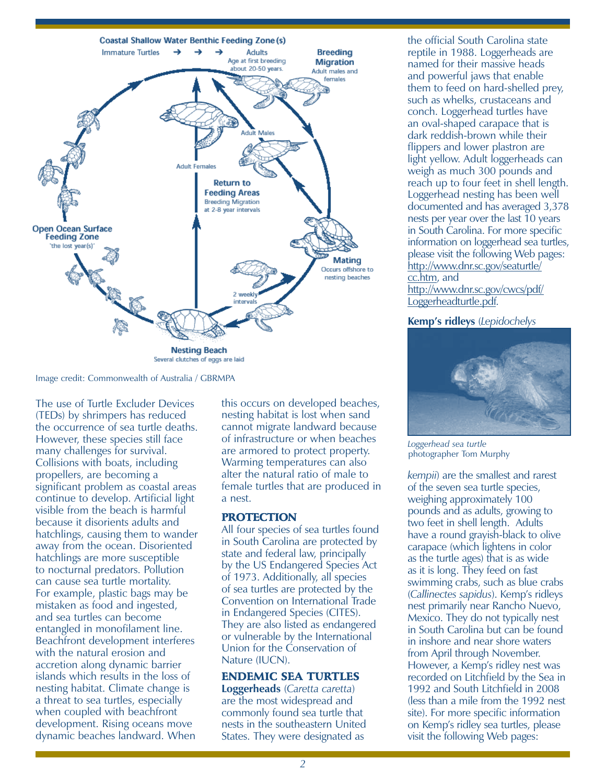

Image credit: Commonwealth of Australia / GBRMPA

The use of Turtle Excluder Devices (TEDs) by shrimpers has reduced the occurrence of sea turtle deaths. However, these species still face many challenges for survival. Collisions with boats, including propellers, are becoming a significant problem as coastal areas continue to develop. Artificial light visible from the beach is harmful because it disorients adults and hatchlings, causing them to wander away from the ocean. Disoriented hatchlings are more susceptible to nocturnal predators. Pollution can cause sea turtle mortality. For example, plastic bags may be mistaken as food and ingested, and sea turtles can become entangled in monofilament line. Beachfront development interferes with the natural erosion and accretion along dynamic barrier islands which results in the loss of nesting habitat. Climate change is a threat to sea turtles, especially when coupled with beachfront development. Rising oceans move dynamic beaches landward. When

this occurs on developed beaches, nesting habitat is lost when sand cannot migrate landward because of infrastructure or when beaches are armored to protect property. Warming temperatures can also alter the natural ratio of male to female turtles that are produced in a nest.

#### **PROTECTION**

All four species of sea turtles found in South Carolina are protected by state and federal law, principally by the US Endangered Species Act of 1973. Additionally, all species of sea turtles are protected by the Convention on International Trade in Endangered Species (CITES). They are also listed as endangered or vulnerable by the International Union for the Conservation of Nature (IUCN).

#### ENDEMIC SEA TURTLES

**Loggerheads** (*Caretta caretta*) are the most widespread and commonly found sea turtle that nests in the southeastern United States. They were designated as

the official South Carolina state reptile in 1988. Loggerheads are named for their massive heads and powerful jaws that enable them to feed on hard-shelled prey, such as whelks, crustaceans and conch. Loggerhead turtles have an oval-shaped carapace that is dark reddish-brown while their flippers and lower plastron are light yellow. Adult loggerheads can weigh as much 300 pounds and reach up to four feet in shell length. Loggerhead nesting has been well documented and has averaged 3,378 nests per year over the last 10 years in South Carolina. For more specific information on loggerhead sea turtles, please visit the following Web pages: [http://www.dnr.sc.gov/seaturtle/](http://www.dnr.sc.gov/seaturtle/cc.htm) cc.htm, and [http://www.dnr.sc.gov/cwcs/pdf/](http://www.dnr.sc.gov/cwcs/pdf/Loggerheadturtle.pdf) Loggerheadturtle.pdf.

#### **Kemp's ridleys** (*Lepidochelys*



photographer Tom Murphy *Loggerhead sea turtle*

*kempii*) are the smallest and rarest of the seven sea turtle species, weighing approximately 100 pounds and as adults, growing to two feet in shell length. Adults have a round grayish-black to olive carapace (which lightens in color as the turtle ages) that is as wide as it is long. They feed on fast swimming crabs, such as blue crabs (*Callinectes sapidus*). Kemp's ridleys nest primarily near Rancho Nuevo, Mexico. They do not typically nest in South Carolina but can be found in inshore and near shore waters from April through November. However, a Kemp's ridley nest was recorded on Litchfield by the Sea in 1992 and South Litchfield in 2008 (less than a mile from the 1992 nest site). For more specific information on Kemp's ridley sea turtles, please visit the following Web pages: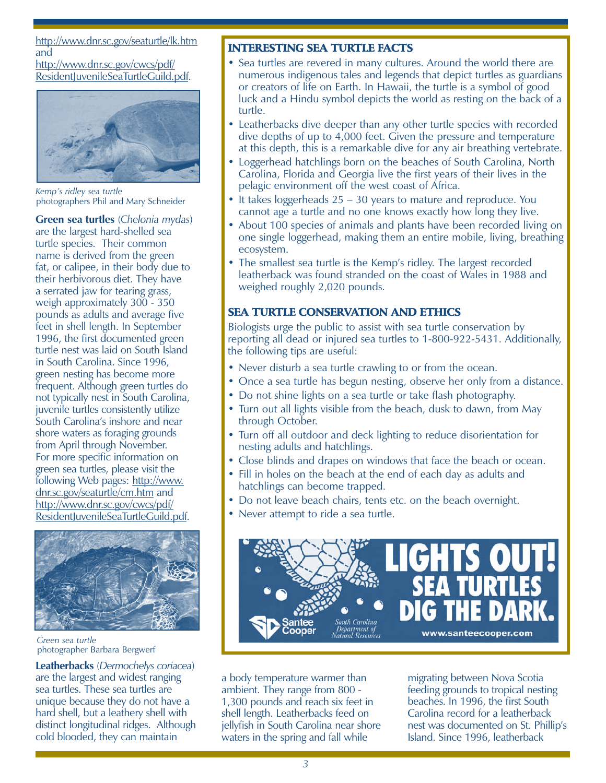## http://www.dnr.sc.gov/seaturtle/lk.htm and

http://www.dnr.sc.gov/cwcs/pdf/ [ResidentJuvenileSeaTurtleGuild.pdf.](http://www.dnr.sc.gov/cwcs/pdf/ResidentJuvenileSeaTurtleGuild.pdf)



photographers Phil and Mary Schneider *Kemp's ridley sea turtle*

**Green sea turtles** (*Chelonia mydas*) are the largest hard-shelled sea turtle species. Their common name is derived from the green fat, or calipee, in their body due to their herbivorous diet. They have a serrated jaw for tearing grass, weigh approximately 300 - 350 pounds as adults and average five feet in shell length. In September 1996, the first documented green turtle nest was laid on South Island in South Carolina. Since 1996, green nesting has become more frequent. Although green turtles do not typically nest in South Carolina, juvenile turtles consistently utilize South Carolina's inshore and near shore waters as foraging grounds from April through November. For more specific information on green sea turtles, please visit the [following Web pages: http://www.](http://www.dnr.sc.gov/seaturtle/cm.htm) dnr.sc.gov/seaturtle/cm.htm and http://www.dnr.sc.gov/cwcs/pdf/ [ResidentJuvenileSeaTurtleGuild.pdf.](http://www.dnr.sc.gov/cwcs/pdf/ResidentJuvenileSeaTurtleGuild.pdf)



photographer Barbara Bergwerf *Green sea turtle*

**Leatherbacks** (*Dermochelys coriacea*) are the largest and widest ranging sea turtles. These sea turtles are unique because they do not have a hard shell, but a leathery shell with distinct longitudinal ridges. Although cold blooded, they can maintain

# INTERESTING SEA TURTLE FACTS

- Sea turtles are revered in many cultures. Around the world there are numerous indigenous tales and legends that depict turtles as guardians or creators of life on Earth. In Hawaii, the turtle is a symbol of good luck and a Hindu symbol depicts the world as resting on the back of a turtle.
- Leatherbacks dive deeper than any other turtle species with recorded dive depths of up to 4,000 feet. Given the pressure and temperature at this depth, this is a remarkable dive for any air breathing vertebrate.
- Loggerhead hatchlings born on the beaches of South Carolina, North Carolina, Florida and Georgia live the first years of their lives in the pelagic environment off the west coast of Africa.
- It takes loggerheads  $25 30$  years to mature and reproduce. You cannot age a turtle and no one knows exactly how long they live.
- About 100 species of animals and plants have been recorded living on one single loggerhead, making them an entire mobile, living, breathing ecosystem.
- The smallest sea turtle is the Kemp's ridley. The largest recorded leatherback was found stranded on the coast of Wales in 1988 and weighed roughly 2,020 pounds.

## SEA TURTLE CONSERVATION AND ETHICS

Biologists urge the public to assist with sea turtle conservation by reporting all dead or injured sea turtles to 1-800-922-5431. Additionally, the following tips are useful:

- Never disturb a sea turtle crawling to or from the ocean.
- Once a sea turtle has begun nesting, observe her only from a distance.
- Do not shine lights on a sea turtle or take flash photography.
- Turn out all lights visible from the beach, dusk to dawn, from May through October.
- Turn off all outdoor and deck lighting to reduce disorientation for nesting adults and hatchlings.
- Close blinds and drapes on windows that face the beach or ocean.
- Fill in holes on the beach at the end of each day as adults and hatchlings can become trapped.
- Do not leave beach chairs, tents etc. on the beach overnight.
- Never attempt to ride a sea turtle.



a body temperature warmer than ambient. They range from 800 - 1,300 pounds and reach six feet in shell length. Leatherbacks feed on jellyfish in South Carolina near shore waters in the spring and fall while

migrating between Nova Scotia feeding grounds to tropical nesting beaches. In 1996, the first South Carolina record for a leatherback nest was documented on St. Phillip's Island. Since 1996, leatherback